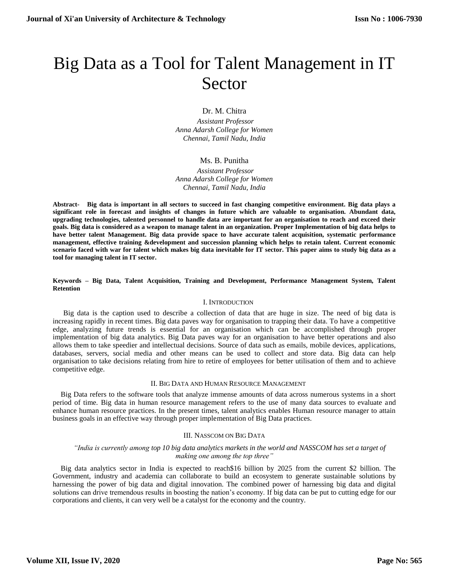# Big Data as a Tool for Talent Management in IT Sector

Dr. M. Chitra

 *Assistant Professor Anna Adarsh College for Women Chennai, Tamil Nadu, India*

# Ms. B. Punitha

 *Assistant Professor Anna Adarsh College for Women Chennai, Tamil Nadu, India*

**Abstract- Big data is important in all sectors to succeed in fast changing competitive environment. Big data plays a significant role in forecast and insights of changes in future which are valuable to organisation. Abundant data, upgrading technologies, talented personnel to handle data are important for an organisation to reach and exceed their goals. Big data is considered as a weapon to manage talent in an organization. Proper Implementation of big data helps to have better talent Management. Big data provide space to have accurate talent acquisition, systematic performance management, effective training &development and succession planning which helps to retain talent. Current economic scenario faced with war for talent which makes big data inevitable for IT sector. This paper aims to study big data as a tool for managing talent in IT sector.**

**Keywords – Big Data, Talent Acquisition, Training and Development, Performance Management System, Talent Retention**

# I. INTRODUCTION

Big data is the caption used to describe a collection of data that are huge in size. The need of big data is increasing rapidly in recent times. Big data paves way for organisation to trapping their data. To have a competitive edge, analyzing future trends is essential for an organisation which can be accomplished through proper implementation of big data analytics. Big Data paves way for an organisation to have better operations and also allows them to take speedier and intellectual decisions. Source of data such as emails, mobile devices, applications, databases, servers, social media and other means can be used to collect and store data. Big data can help organisation to take decisions relating from hire to retire of employees for better utilisation of them and to achieve competitive edge.

# II. BIG DATA AND HUMAN RESOURCE MANAGEMENT

Big Data refers to the software tools that analyze immense amounts of data across numerous systems in a short period of time. Big data in human resource management refers to the use of many data sources to evaluate and enhance human resource practices. In the present times, talent analytics enables Human resource manager to attain business goals in an effective way through proper implementation of Big Data practices.

# III. NASSCOM ON BIG DATA

# *"India is currently among top 10 big data analytics markets in the world and NASSCOM has set a target of making one among the top three"*

Big data analytics sector in India is expected to reach\$16 billion by 2025 from the current \$2 billion. The Government, industry and academia can collaborate to build an ecosystem to generate sustainable solutions by harnessing the power of big data and digital innovation. The combined power of harnessing big data and digital solutions can drive tremendous results in boosting the nation's economy. If big data can be put to cutting edge for our corporations and clients, it can very well be a catalyst for the economy and the country.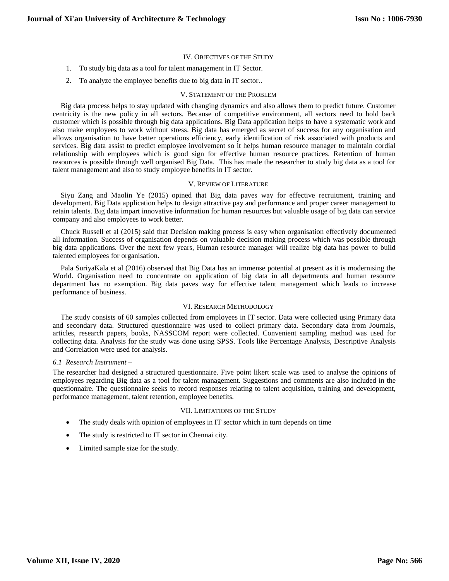## IV. OBJECTIVES OF THE STUDY

- 1. To study big data as a tool for talent management in IT Sector.
- 2. To analyze the employee benefits due to big data in IT sector..

### V. STATEMENT OF THE PROBLEM

Big data process helps to stay updated with changing dynamics and also allows them to predict future. Customer centricity is the new policy in all sectors. Because of competitive environment, all sectors need to hold back customer which is possible through big data applications. Big Data application helps to have a systematic work and also make employees to work without stress. Big data has emerged as secret of success for any organisation and allows organisation to have better operations efficiency, early identification of risk associated with products and services. Big data assist to predict employee involvement so it helps human resource manager to maintain cordial relationship with employees which is good sign for effective human resource practices. Retention of human resources is possible through well organised Big Data. This has made the researcher to study big data as a tool for talent management and also to study employee benefits in IT sector.

#### V. REVIEW OF LITERATURE

Siyu Zang and Maolin Ye (2015) opined that Big data paves way for effective recruitment, training and development. Big Data application helps to design attractive pay and performance and proper career management to retain talents. Big data impart innovative information for human resources but valuable usage of big data can service company and also employees to work better.

Chuck Russell et al (2015) said that Decision making process is easy when organisation effectively documented all information. Success of organisation depends on valuable decision making process which was possible through big data applications. Over the next few years, Human resource manager will realize big data has power to build talented employees for organisation.

Pala SuriyaKala et al (2016) observed that Big Data has an immense potential at present as it is modernising the World. Organisation need to concentrate on application of big data in all departments and human resource department has no exemption. Big data paves way for effective talent management which leads to increase performance of business.

### VI. RESEARCH METHODOLOGY

The study consists of 60 samples collected from employees in IT sector. Data were collected using Primary data and secondary data. Structured questionnaire was used to collect primary data. Secondary data from Journals, articles, research papers, books, NASSCOM report were collected. Convenient sampling method was used for collecting data. Analysis for the study was done using SPSS. Tools like Percentage Analysis, Descriptive Analysis and Correlation were used for analysis.

## *6.1 Research Instrument –*

The researcher had designed a structured questionnaire. Five point likert scale was used to analyse the opinions of employees regarding Big data as a tool for talent management. Suggestions and comments are also included in the questionnaire. The questionnaire seeks to record responses relating to talent acquisition, training and development, performance management, talent retention, employee benefits.

## VII. LIMITATIONS OF THE STUDY

- The study deals with opinion of employees in IT sector which in turn depends on time
- The study is restricted to IT sector in Chennai city.
- Limited sample size for the study.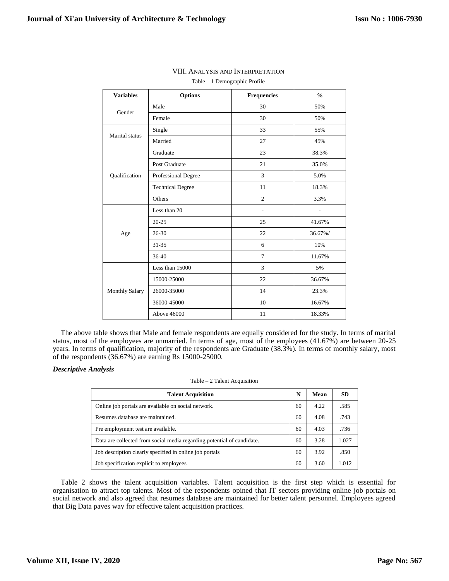| <b>Variables</b>      | <b>Options</b>          | <b>Frequencies</b> | $\frac{0}{0}$ |
|-----------------------|-------------------------|--------------------|---------------|
| Gender                | Male                    | 30                 | 50%           |
|                       | Female                  | 30                 | 50%           |
| Marital status        | Single                  | 33                 | 55%           |
|                       | Married                 | 27                 | 45%           |
|                       | Graduate                | 23                 | 38.3%         |
|                       | Post Graduate           | 21                 | 35.0%         |
| Qualification         | Professional Degree     | 3                  | 5.0%          |
|                       | <b>Technical Degree</b> | 11                 | 18.3%         |
|                       | Others                  | $\overline{c}$     | 3.3%          |
|                       | Less than 20            | $\overline{a}$     |               |
| Age                   | $20 - 25$               | 25                 | 41.67%        |
|                       | 26-30                   | 22                 | 36.67%/       |
|                       | $31 - 35$               | 6                  | 10%           |
|                       | 36-40                   | $\tau$             | 11.67%        |
|                       | Less than 15000         | 3                  | 5%            |
| <b>Monthly Salary</b> | 15000-25000             | 22                 | 36.67%        |
|                       | 26000-35000             | 14                 | 23.3%         |
|                       | 36000-45000             | 10                 | 16.67%        |
|                       | Above 46000             | 11                 | 18.33%        |

# VIII. ANALYSIS AND INTERPRETATION

Table – 1 Demographic Profile

The above table shows that Male and female respondents are equally considered for the study. In terms of marital status, most of the employees are unmarried. In terms of age, most of the employees (41.67%) are between 20-25 years. In terms of qualification, majority of the respondents are Graduate (38.3%). In terms of monthly salary, most of the respondents (36.67%) are earning Rs 15000-25000.

# *Descriptive Analysis*

## Table – 2 Talent Acquisition

| <b>Talent Acquisition</b>                                              | N  | Mean | <b>SD</b> |
|------------------------------------------------------------------------|----|------|-----------|
| Online job portals are available on social network.                    | 60 | 4.22 | .585      |
| Resumes database are maintained.                                       | 60 | 4.08 | .743      |
| Pre employment test are available.                                     | 60 | 4.03 | .736      |
| Data are collected from social media regarding potential of candidate. | 60 | 3.28 | 1.027     |
| Job description clearly specified in online job portals                | 60 | 3.92 | .850      |
| Job specification explicit to employees                                | 60 | 3.60 | 1.012     |

Table 2 shows the talent acquisition variables. Talent acquisition is the first step which is essential for organisation to attract top talents. Most of the respondents opined that IT sectors providing online job portals on social network and also agreed that resumes database are maintained for better talent personnel. Employees agreed that Big Data paves way for effective talent acquisition practices.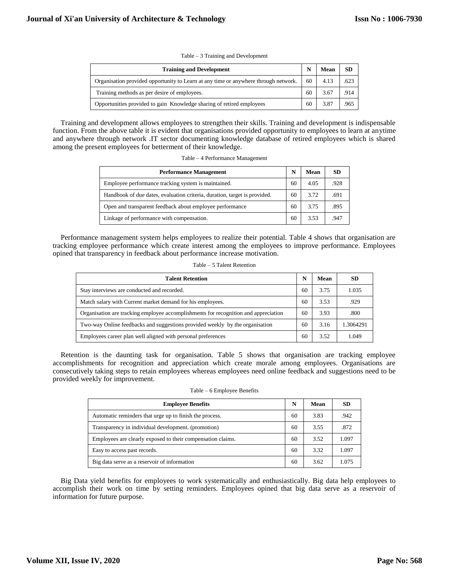|  | Table – 3 Training and Development |  |  |
|--|------------------------------------|--|--|
|  |                                    |  |  |

| <b>Training and Development</b>                                                     |    | Mean | <b>SD</b> |
|-------------------------------------------------------------------------------------|----|------|-----------|
| Organisation provided opportunity to Learn at any time or anywhere through network. | 60 | 4.13 | .623      |
| Training methods as per desire of employees.                                        | 60 | 3.67 | .914      |
| Opportunities provided to gain Knowledge sharing of retired employees               | 60 | 3.87 | .965      |

Training and development allows employees to strengthen their skills. Training and development is indispensable function. From the above table it is evident that organisations provided opportunity to employees to learn at anytime and anywhere through network .IT sector documenting knowledge database of retired employees which is shared among the present employees for betterment of their knowledge.

Table – 4 Performance Management

| <b>Performance Management</b>                                             |    | Mean | <b>SD</b> |
|---------------------------------------------------------------------------|----|------|-----------|
| Employee performance tracking system is maintained.                       | 60 | 4.05 | .928      |
| Handbook of due dates, evaluation criteria, duration, target is provided. | 60 | 3.72 | .691      |
| Open and transparent feedback about employee performance                  | 60 | 3.75 | .895      |
| Linkage of performance with compensation.                                 | 60 | 3.53 | -947      |

Performance management system helps employees to realize their potential. Table 4 shows that organisation are tracking employee performance which create interest among the employees to improve performance. Employees opined that transparency in feedback about performance increase motivation.

Table – 5 Talent Retention

| <b>Talent Retention</b>                                                             |    | Mean | -SD       |
|-------------------------------------------------------------------------------------|----|------|-----------|
| Stay interviews are conducted and recorded.                                         | 60 | 3.75 | 1.035     |
| Match salary with Current market demand for his employees.                          | 60 | 3.53 | .929      |
| Organisation are tracking employee accomplishments for recognition and appreciation | 60 | 3.93 | .800      |
| Two-way Online feedbacks and suggestions provided weekly by the organisation        | 60 | 3.16 | 1.3064291 |
| Employees career plan well aligned with personal preferences                        | 60 | 3.52 | 1.049     |

Retention is the daunting task for organisation. Table 5 shows that organisation are tracking employee accomplishments for recognition and appreciation which create morale among employees. Organisations are consecutively taking steps to retain employees whereas employees need online feedback and suggestions need to be provided weekly for improvement.

| <b>Employee Benefits</b>                                    | N  | Mean | SD    |
|-------------------------------------------------------------|----|------|-------|
| Automatic reminders that urge up to finish the process.     | 60 | 3.83 | .942  |
| Transparency in individual development. (promotion)         | 60 | 3.55 | .872  |
| Employees are clearly exposed to their compensation claims. | 60 | 3.52 | 1.097 |
| Easy to access past records.                                | 60 | 3.32 | 1.097 |
| Big data serve as a reservoir of information                | 60 | 3.62 | 1.075 |

Big Data yield benefits for employees to work systematically and enthusiastically. Big data help employees to accomplish their work on time by setting reminders. Employees opined that big data serve as a reservoir of information for future purpose.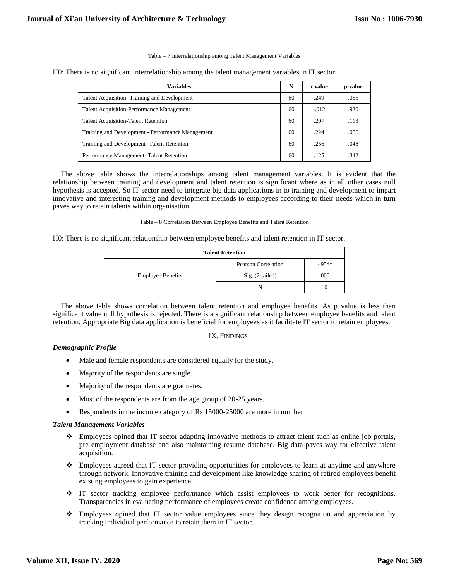Table – 7 Interrelationship among Talent Management Variables

H0: There is no significant interrelationship among the talent management variables in IT sector.

| <b>Variables</b>                                  | N  | r value | p-value |
|---------------------------------------------------|----|---------|---------|
| Talent Acquisition-Training and Development       | 60 | .249    | .055    |
| <b>Talent Acquisition-Performance Management</b>  | 60 | $-.012$ | .930    |
| <b>Talent Acquisition-Talent Retention</b>        | 60 | .207    | .113    |
| Training and Development - Performance Management | 60 | .224    | .086    |
| Training and Development-Talent Retention         | 60 | .256    | .048    |
| Performance Management-Talent Retention           | 60 | .125    | .342    |

The above table shows the interrelationships among talent management variables. It is evident that the relationship between training and development and talent retention is significant where as in all other cases null hypothesis is accepted. So IT sector need to integrate big data applications in to training and development to impart innovative and interesting training and development methods to employees according to their needs which in turn paves way to retain talents within organisation.

Table – 8 Correlation Between Employee Benefits and Talent Retention

H0: There is no significant relationship between employee benefits and talent retention in IT sector.

| <b>Talent Retention</b>  |                     |        |  |  |
|--------------------------|---------------------|--------|--|--|
|                          | Pearson Correlation | .495** |  |  |
| <b>Employee Benefits</b> | $Sig. (2-tailed)$   | .000   |  |  |
|                          | N                   | 60     |  |  |

The above table shows correlation between talent retention and employee benefits. As p value is less than significant value null hypothesis is rejected. There is a significant relationship between employee benefits and talent retention. Appropriate Big data application is beneficial for employees as it facilitate IT sector to retain employees.

# IX. FINDINGS

# *Demographic Profile*

- Male and female respondents are considered equally for the study.
- Majority of the respondents are single.
- Majority of the respondents are graduates.
- Most of the respondents are from the age group of 20-25 years.
- Respondents in the income category of Rs 15000-25000 are more in number

### *Talent Management Variables*

- Employees opined that IT sector adapting innovative methods to attract talent such as online job portals, pre employment database and also maintaining resume database. Big data paves way for effective talent acquisition.
- Employees agreed that IT sector providing opportunities for employees to learn at anytime and anywhere through network. Innovative training and development like knowledge sharing of retired employees benefit existing employees to gain experience.
- IT sector tracking employee performance which assist employees to work better for recognitions. Transparencies in evaluating performance of employees create confidence among employees.
- Employees opined that IT sector value employees since they design recognition and appreciation by tracking individual performance to retain them in IT sector.